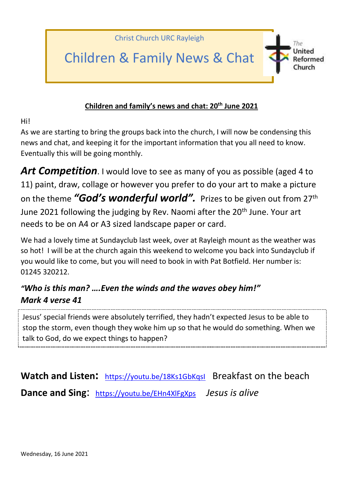

## **Children and family's news and chat: 20th June 2021**

Hi!

As we are starting to bring the groups back into the church, I will now be condensing this news and chat, and keeping it for the important information that you all need to know. Eventually this will be going monthly.

**Art Competition**. I would love to see as many of you as possible (aged 4 to 11) paint, draw, collage or however you prefer to do your art to make a picture on the theme *"God's wonderful world".* Prizes to be given out from 27th June 2021 following the judging by Rev. Naomi after the 20<sup>th</sup> June. Your art needs to be on A4 or A3 sized landscape paper or card.

We had a lovely time at Sundayclub last week, over at Rayleigh mount as the weather was so hot! I will be at the church again this weekend to welcome you back into Sundayclub if you would like to come, but you will need to book in with Pat Botfield. Her number is: 01245 320212.

## *"Who is this man? ….Even the winds and the waves obey him!" Mark 4 verse 41*

Jesus' special friends were absolutely terrified, they hadn't expected Jesus to be able to stop the storm, even though they woke him up so that he would do something. When we talk to God, do we expect things to happen?

Watch and Listen: <https://youtu.be/18Ks1GbKqsI> Breakfast on the beach **Dance and Sing**: <https://youtu.be/EHn4XlFgXps> *Jesus is alive*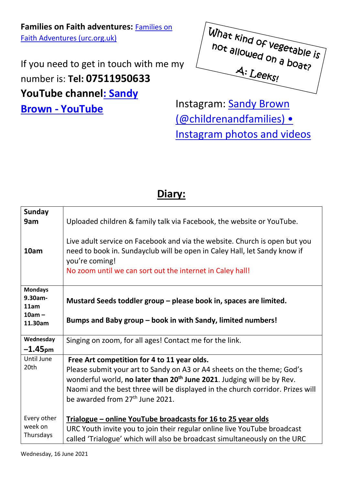**Families on Faith adventures:** [Families on](https://urc.org.uk/families-on-faith-adventures)  [Faith Adventures \(urc.org.uk\)](https://urc.org.uk/families-on-faith-adventures)

If you need to get in touch with me my number is: **Tel: 07511950633 YouTube channe[l: Sandy](https://www.youtube.com/channel/UCczXJ3IckAMTs3fhXEBjI_g)  Brown - [YouTube](https://www.youtube.com/channel/UCczXJ3IckAMTs3fhXEBjI_g)** Instagram: **Sandy Brown** 



[\(@childrenandfamilies\) •](https://www.instagram.com/childrenandfamilies/)  [Instagram photos and videos](https://www.instagram.com/childrenandfamilies/)

## **Diary:**

| <b>Sunday</b><br>9am              | Uploaded children & family talk via Facebook, the website or YouTube.                                                                                                                                                                  |
|-----------------------------------|----------------------------------------------------------------------------------------------------------------------------------------------------------------------------------------------------------------------------------------|
| 10am                              | Live adult service on Facebook and via the website. Church is open but you<br>need to book in. Sundayclub will be open in Caley Hall, let Sandy know if<br>you're coming!<br>No zoom until we can sort out the internet in Caley hall! |
| <b>Mondays</b><br>9.30am-<br>11am | Mustard Seeds toddler group – please book in, spaces are limited.                                                                                                                                                                      |
| $10am -$<br>11.30am               | Bumps and Baby group - book in with Sandy, limited numbers!                                                                                                                                                                            |
| Wednesday<br>$-1.45$ pm           | Singing on zoom, for all ages! Contact me for the link.                                                                                                                                                                                |
| Until June                        | Free Art competition for 4 to 11 year olds.                                                                                                                                                                                            |
| 20th                              | Please submit your art to Sandy on A3 or A4 sheets on the theme; God's                                                                                                                                                                 |
|                                   | wonderful world, no later than 20 <sup>th</sup> June 2021. Judging will be by Rev.                                                                                                                                                     |
|                                   | Naomi and the best three will be displayed in the church corridor. Prizes will                                                                                                                                                         |
|                                   | be awarded from 27 <sup>th</sup> June 2021.                                                                                                                                                                                            |
|                                   |                                                                                                                                                                                                                                        |
| Every other                       | Trialogue – online YouTube broadcasts for 16 to 25 year olds                                                                                                                                                                           |
| week on                           | URC Youth invite you to join their regular online live YouTube broadcast                                                                                                                                                               |
| Thursdays                         | called 'Trialogue' which will also be broadcast simultaneously on the URC                                                                                                                                                              |